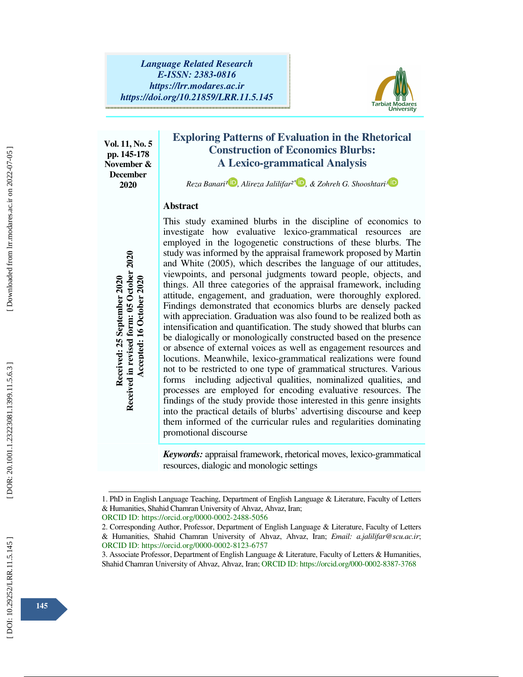

**Vol. 11, No. 5 pp. 145-178 November & December 2020** 

# **Exploring Patterns of Evaluation in the Rhetorical Construction of Economics Blurbs: A Lexico-grammatical Analysis**

*Reza Banari¹ , Alireza Jalilifar²* ∗ *, & Zohreh G. Shooshtari³*

## **Abstract**

This study examined blurbs in the discipline of economics to investigate how evaluative lexico-grammatical resources are employed in the logogenetic constructions of these blurbs. The study was informed by the appraisal framework proposed by Martin and White (2005), which describes the language of our attitudes, viewpoints, and personal judgments toward people, objects, and things. All three categories of the appraisal framework, including attitude, engagement, and graduation, were thoroughly explored. Findings demonstrated that economics blurbs are densely packed with appreciation. Graduation was also found to be realized both as intensification and quantification. The study showed that blurbs can be dialogically or monologically constructed based on the presence or absence of external voices as well as engagement resources and locutions. Meanwhile, lexico-grammatical realizations were found not to be restricted to one type of grammatical structures. Various forms including adjectival qualities, nominalized qualities, and processes are employed for encoding evaluative resources. The findings of the study provide those interested in this genre insights into the practical details of blurbs' advertising discourse and keep them informed of the curricular rules and regularities dominating promotional discourse shahid Chamran University of Ahvaz, Ahvaz, Ahvaz, Ahvaz, Ahvaz, Ahvaz, Chamran University of Ahvaz, Ahvaz, Ahvaz, Ahvaz, Ahvaz, Ahvaz, Ahvaz, Shahid Chamran University of Ahvaz, Ahvaz, Ahvaz, Ahvaz, Ahvaz, Ahvaz, Ahvaz, Ah

*Keywords:* appraisal framework, rhetorical moves, lexico-grammatical resources, dialogic and monologic settings

ــــــــــــــــــــــــــــــــــــــــــــــــــــــــــــــــــــــــــــــــــــــــــــــــــــــــــــــــــــــــــــــــــــــــــــــــــــــــــــــــــــــــــــــــــــــــــــــــــــــــــــــــــــــــــــــــــــــــــــــــــــــــــــــــــــــــــــ 1. PhD in English Language Teaching, Department of English Language & Literature, Faculty of Letters & Humanities, Shahid Chamran University of Ahvaz, Ahvaz, Iran;

ORCID ID: https://orcid.org/0000-0002-2488-5056

<sup>2.</sup> Corresponding Author, Professor, Department of English Language & Literature, Faculty of Letters & Humanities, Shahid Chamran University of Ahvaz, Ahvaz, Iran; *Email: a.jalilifar@scu.ac.ir*; ORCID ID: https://orcid.org/0000-0002-8123-6757

<sup>3.</sup> Associate Professor, Department of English Language & Literature, Faculty of Letters & Humanities,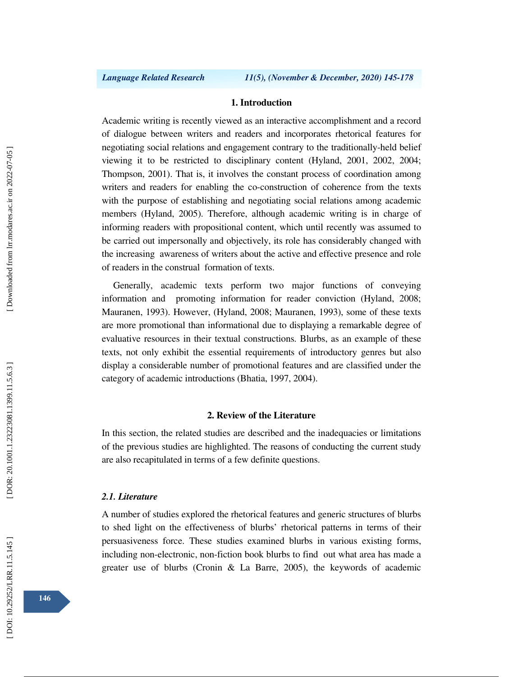#### **1. Introduction**

Academic writing is recently viewed as an interactive accomplishment and a record of dialogue between writers and readers and incorporates rhetorical features for negotiating social relations and engagement contrary to the traditionally-held belief viewing it to be restricted to disciplinary content (Hyland, 2001, 2002, 2004; Thompson, 2001). That is, it involves the constant process of coordination among writers and readers for enabling the co-construction of coherence from the texts with the purpose of establishing and negotiating social relations among academic members (Hyland, 2005). Therefore, although academic writing is in charge of informing readers with propositional content, which until recently was assumed to be carried out impersonally and objectively, its role has considerably changed with the increasing awareness of writers about the active and effective presence and role of readers in the construal formation of texts.

Generally, academic texts perform two major functions of conveying information and promoting information for reader conviction (Hyland, 2008; Mauranen, 1993). However, (Hyland, 2008; Mauranen, 1993), some of these texts are more promotional than informational due to displaying a remarkable degree of evaluative resources in their textual constructions. Blurbs, as an example of these texts, not only exhibit the essential requirements of introductory genres but also display a considerable number of promotional features and are classified under the category of academic introductions (Bhatia, 1997, 2004).

### **2. Review of the Literature**

In this section, the related studies are described and the inadequacies or limitations of the previous studies are highlighted. The reasons of conducting the current study are also recapitulated in terms of a few definite questions.

#### *2.1. Literature*

A number of studies explored the rhetorical features and generic structures of blurbs to shed light on the effectiveness of blurbs' rhetorical patterns in terms of their persuasiveness force. These studies examined blurbs in various existing forms, including non-electronic, non-fiction book blurbs to find out what area has made a greater use of blurbs (Cronin & La Barre, 2005), the keywords of academic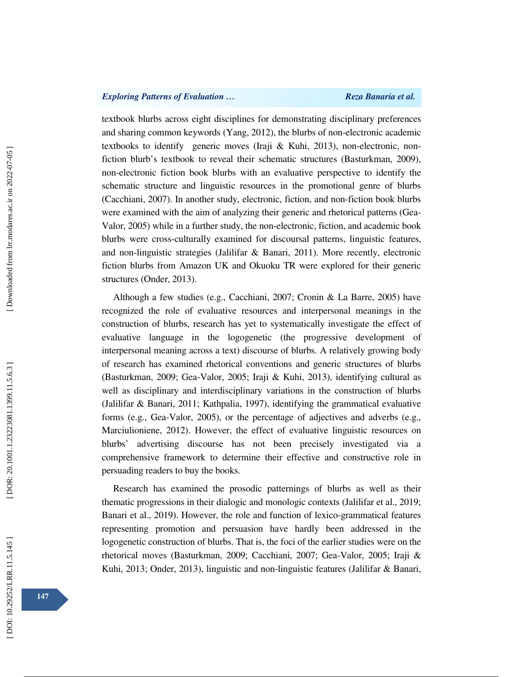## *Exploring Patterns of Evaluation … Reza Banaria et al. Reza Banaria et al.*

textbook blurbs across eight disciplines for demonstrating disciplinary preferences and sharing common keywords (Yang, 2012), the blurbs of non-electronic academic textbooks to identify generic moves (Iraji & Kuhi, 2013), non-electronic, nonfiction blurb's textbook to reveal their schematic structures (Basturkman, 2009), non-electronic fiction book blurbs with an evaluative perspective to identify the schematic structure and linguistic resources in the promotional genre of blurbs (Cacchiani, 2007). In another study, electronic, fiction, and non-fiction book blurbs were examined with the aim of analyzing their generic and rhetorical patterns (Gea-Valor, 2005) while in a further study, the non-electronic, fiction, and academic book blurbs were cross-culturally examined for discoursal patterns, linguistic features, and non-linguistic strategies (Jalilifar  $\&$  Banari, 2011). More recently, electronic fiction blurbs from Amazon UK and Okuoku TR were explored for their generic structures (Onder, 2013).

Although a few studies (e.g., Cacchiani, 2007; Cronin & La Barre, 2005) have recognized the role of evaluative resources and interpersonal meanings in the construction of blurbs, research has yet to systematically investigate the effect of evaluative language in the logogenetic (the progressive development of interpersonal meaning across a text) discourse of blurbs. A relatively growing body of research has examined rhetorical conventions and generic structures of blurbs (Basturkman, 2009; Gea-Valor, 2005; Iraji & Kuhi, 2013), identifying cultural as well as disciplinary and interdisciplinary variations in the construction of blurbs (Jalilifar & Banari, 2011; Kathpalia, 1997), identifying the grammatical evaluative forms (e.g., Gea-Valor, 2005), or the percentage of adjectives and adverbs (e.g., Marciulioniene, 2012). However, the effect of evaluative linguistic resources on blurbs' advertising discourse has not been precisely investigated via a comprehensive framework to determine their effective and constructive role in persuading readers to buy the books.

Research has examined the prosodic patternings of blurbs as well as their thematic progressions in their dialogic and monologic contexts (Jalilifar et al., 2019; Banari et al., 2019). However, the role and function of lexico-grammatical features representing promotion and persuasion have hardly been addressed in the logogenetic construction of blurbs. That is, the foci of the earlier studies were on the rhetorical moves (Basturkman, 2009; Cacchiani, 2007; Gea-Valor, 2005; Iraji & Kuhi, 2013; Onder, 2013), linguistic and non-linguistic features (Jalilifar & Banari,

DOI: 10.29252/LRR.11.5.145]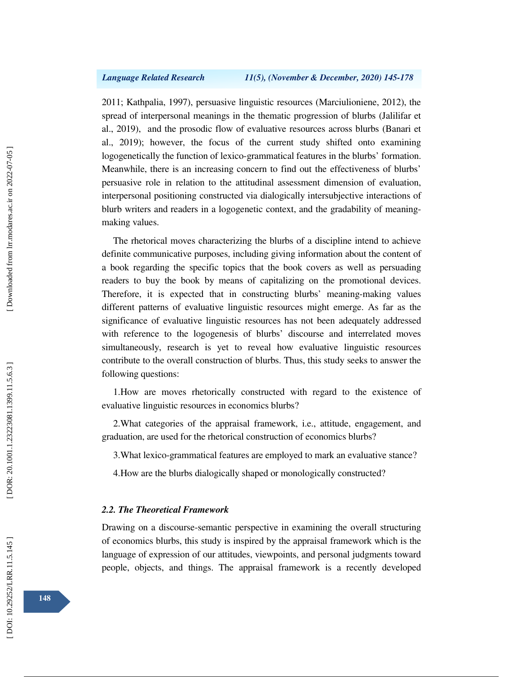2011; Kathpalia, 1997), persuasive linguistic resources (Marciulioniene, 2012), the spread of interpersonal meanings in the thematic progression of blurbs (Jalilifar et al., 2019), and the prosodic flow of evaluative resources across blurbs (Banari et al., 2019); however, the focus of the current study shifted onto examining logogenetically the function of lexico-grammatical features in the blurbs' formation. Meanwhile, there is an increasing concern to find out the effectiveness of blurbs' persuasive role in relation to the attitudinal assessment dimension of evaluation, interpersonal positioning constructed via dialogically intersubjective interactions of blurb writers and readers in a logogenetic context, and the gradability of meaningmaking values.

The rhetorical moves characterizing the blurbs of a discipline intend to achieve definite communicative purposes, including giving information about the content of a book regarding the specific topics that the book covers as well as persuading readers to buy the book by means of capitalizing on the promotional devices. Therefore, it is expected that in constructing blurbs' meaning-making values different patterns of evaluative linguistic resources might emerge. As far as the significance of evaluative linguistic resources has not been adequately addressed with reference to the logogenesis of blurbs' discourse and interrelated moves simultaneously, research is yet to reveal how evaluative linguistic resources contribute to the overall construction of blurbs. Thus, this study seeks to answer the following questions:

1.How are moves rhetorically constructed with regard to the existence of evaluative linguistic resources in economics blurbs?

2.What categories of the appraisal framework, i.e., attitude, engagement, and graduation, are used for the rhetorical construction of economics blurbs?

3.What lexico-grammatical features are employed to mark an evaluative stance?

4.How are the blurbs dialogically shaped or monologically constructed?

## *2.2. The Theoretical Framework*

Drawing on a discourse-semantic perspective in examining the overall structuring of economics blurbs, this study is inspired by the appraisal framework which is the language of expression of our attitudes, viewpoints, and personal judgments toward people, objects, and things. The appraisal framework is a recently developed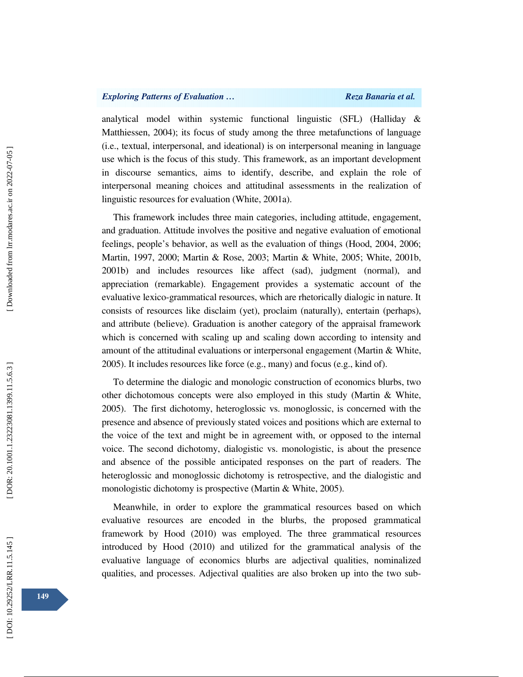## *Exploring Patterns of Evaluation … Reza Banaria et al.*

analytical model within systemic functional linguistic (SFL) (Halliday & Matthiessen, 2004); its focus of study among the three metafunctions of language (i.e., textual, interpersonal, and ideational) is on interpersonal meaning in language use which is the focus of this study. This framework, as an important development in discourse semantics, aims to identify, describe, and explain the role of interpersonal meaning choices and attitudinal assessments in the realization of linguistic resources for evaluation (White, 2001a).

This framework includes three main categories, including attitude, engagement, and graduation. Attitude involves the positive and negative evaluation of emotional feelings, people's behavior, as well as the evaluation of things (Hood, 2004, 2006; Martin, 1997, 2000; Martin & Rose, 2003; Martin & White, 2005; White, 2001b, 2001b) and includes resources like affect (sad), judgment (normal), and appreciation (remarkable). Engagement provides a systematic account of the evaluative lexico-grammatical resources, which are rhetorically dialogic in nature. It consists of resources like disclaim (yet), proclaim (naturally), entertain (perhaps), and attribute (believe). Graduation is another category of the appraisal framework which is concerned with scaling up and scaling down according to intensity and amount of the attitudinal evaluations or interpersonal engagement (Martin & White, 2005). It includes resources like force (e.g., many) and focus (e.g., kind of).

To determine the dialogic and monologic construction of economics blurbs, two other dichotomous concepts were also employed in this study (Martin & White, 2005). The first dichotomy, heteroglossic vs. monoglossic, is concerned with the presence and absence of previously stated voices and positions which are external to the voice of the text and might be in agreement with, or opposed to the internal voice. The second dichotomy, dialogistic vs. monologistic, is about the presence and absence of the possible anticipated responses on the part of readers. The heteroglossic and monoglossic dichotomy is retrospective, and the dialogistic and monologistic dichotomy is prospective (Martin & White, 2005).

Meanwhile, in order to explore the grammatical resources based on which evaluative resources are encoded in the blurbs, the proposed grammatical framework by Hood (2010) was employed. The three grammatical resources introduced by Hood (2010) and utilized for the grammatical analysis of the evaluative language of economics blurbs are adjectival qualities, nominalized qualities, and processes. Adjectival qualities are also broken up into the two sub-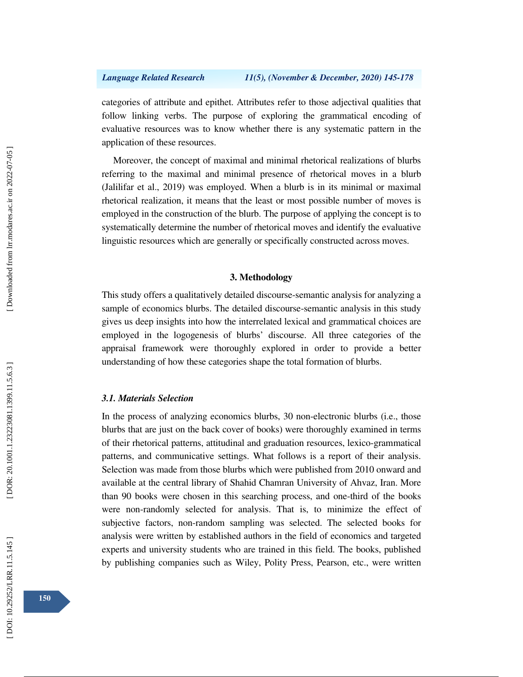categories of attribute and epithet. Attributes refer to those adjectival qualities that follow linking verbs. The purpose of exploring the grammatical encoding of evaluative resources was to know whether there is any systematic pattern in the application of these resources.

Moreover, the concept of maximal and minimal rhetorical realizations of blurbs referring to the maximal and minimal presence of rhetorical moves in a blurb (Jalilifar et al., 2019) was employed. When a blurb is in its minimal or maximal rhetorical realization, it means that the least or most possible number of moves is employed in the construction of the blurb. The purpose of applying the concept is to systematically determine the number of rhetorical moves and identify the evaluative linguistic resources which are generally or specifically constructed across moves.

## **3. Methodology**

This study offers a qualitatively detailed discourse-semantic analysis for analyzing a sample of economics blurbs. The detailed discourse-semantic analysis in this study gives us deep insights into how the interrelated lexical and grammatical choices are employed in the logogenesis of blurbs' discourse. All three categories of the appraisal framework were thoroughly explored in order to provide a better understanding of how these categories shape the total formation of blurbs.

### *3.1. Materials Selection*

In the process of analyzing economics blurbs, 30 non-electronic blurbs (i.e., those blurbs that are just on the back cover of books) were thoroughly examined in terms of their rhetorical patterns, attitudinal and graduation resources, lexico-grammatical patterns, and communicative settings. What follows is a report of their analysis. Selection was made from those blurbs which were published from 2010 onward and available at the central library of Shahid Chamran University of Ahvaz, Iran. More than 90 books were chosen in this searching process, and one-third of the books were non-randomly selected for analysis. That is, to minimize the effect of subjective factors, non-random sampling was selected. The selected books for analysis were written by established authors in the field of economics and targeted experts and university students who are trained in this field. The books, published by publishing companies such as Wiley, Polity Press, Pearson, etc., were written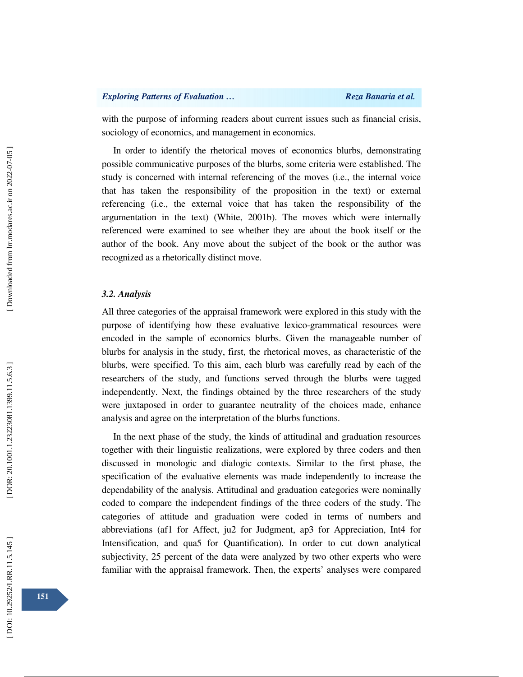with the purpose of informing readers about current issues such as financial crisis, sociology of economics, and management in economics.

In order to identify the rhetorical moves of economics blurbs, demonstrating possible communicative purposes of the blurbs, some criteria were established. The study is concerned with internal referencing of the moves (i.e., the internal voice that has taken the responsibility of the proposition in the text) or external referencing (i.e., the external voice that has taken the responsibility of the argumentation in the text) (White, 2001b). The moves which were internally referenced were examined to see whether they are about the book itself or the author of the book. Any move about the subject of the book or the author was recognized as a rhetorically distinct move.

#### *3.2. Analysis*

All three categories of the appraisal framework were explored in this study with the purpose of identifying how these evaluative lexico-grammatical resources were encoded in the sample of economics blurbs. Given the manageable number of blurbs for analysis in the study, first, the rhetorical moves, as characteristic of the blurbs, were specified. To this aim, each blurb was carefully read by each of the researchers of the study, and functions served through the blurbs were tagged independently. Next, the findings obtained by the three researchers of the study were juxtaposed in order to guarantee neutrality of the choices made, enhance analysis and agree on the interpretation of the blurbs functions.

In the next phase of the study, the kinds of attitudinal and graduation resources together with their linguistic realizations, were explored by three coders and then discussed in monologic and dialogic contexts. Similar to the first phase, the specification of the evaluative elements was made independently to increase the dependability of the analysis. Attitudinal and graduation categories were nominally coded to compare the independent findings of the three coders of the study. The categories of attitude and graduation were coded in terms of numbers and abbreviations (af1 for Affect, ju2 for Judgment, ap3 for Appreciation, Int4 for Intensification, and qua5 for Quantification). In order to cut down analytical subjectivity, 25 percent of the data were analyzed by two other experts who were familiar with the appraisal framework. Then, the experts' analyses were compared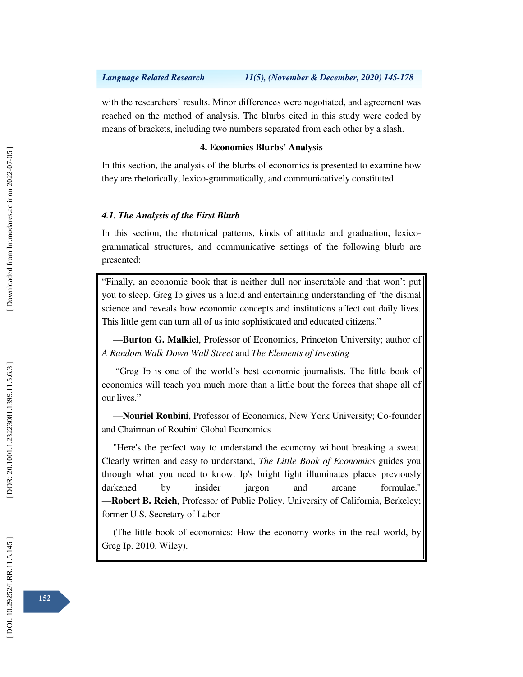## *Language Related Research 11(5), (November & December, 2020) 145-178*

with the researchers' results. Minor differences were negotiated, and agreement was reached on the method of analysis. The blurbs cited in this study were coded by means of brackets, including two numbers separated from each other by a slash.

## **4. Economics Blurbs' Analysis**

In this section, the analysis of the blurbs of economics is presented to examine how they are rhetorically, lexico-grammatically, and communicatively constituted.

### *4.1. The Analysis of the First Blurb*

In this section, the rhetorical patterns, kinds of attitude and graduation, lexicogrammatical structures, and communicative settings of the following blurb are presented:

"Finally, an economic book that is neither dull nor inscrutable and that won't put you to sleep. Greg Ip gives us a lucid and entertaining understanding of 'the dismal science and reveals how economic concepts and institutions affect out daily lives. This little gem can turn all of us into sophisticated and educated citizens." —**Burton G. Malkiel**, Professor of Economics, Princeton University; author of

*A Random Walk Down Wall Street* and *The Elements of Investing*

 "Greg Ip is one of the world's best economic journalists. The little book of economics will teach you much more than a little bout the forces that shape all of our lives." —**Nouriel Roubini**, Professor of Economics, New York University; Co-founder

and Chairman of Roubini Global Economics

"Here's the perfect way to understand the economy without breaking a sweat. Clearly written and easy to understand, *The Little Book of Economics* guides you through what you need to know. Ip's bright light illuminates places previously darkened by insider jargon and arcane formulae." —**Robert B. Reich**, Professor of Public Policy, University of California, Berkeley; former U.S. Secretary of Labor

(The little book of economics: How the economy works in the real world, by Greg Ip. 2010. Wiley).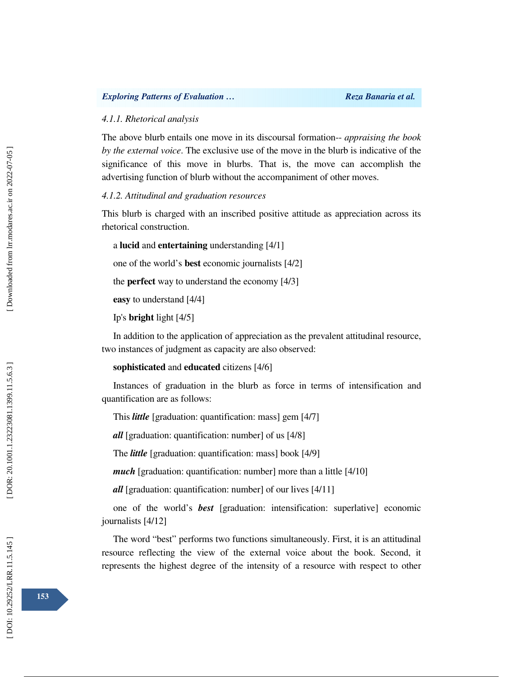#### *4.1.1. Rhetorical analysis*

The above blurb entails one move in its discoursal formation-- *appraising the book by the external voice*. The exclusive use of the move in the blurb is indicative of the significance of this move in blurbs. That is, the move can accomplish the advertising function of blurb without the accompaniment of other moves.

#### *4.1.2. Attitudinal and graduation resources*

This blurb is charged with an inscribed positive attitude as appreciation across its rhetorical construction.

a **lucid** and **entertaining** understanding [4/1]

one of the world's **best** economic journalists [4/2]

the **perfect** way to understand the economy [4/3]

**easy** to understand [4/4]

Ip's **bright** light [4/5]

In addition to the application of appreciation as the prevalent attitudinal resource, two instances of judgment as capacity are also observed:

```
sophisticated and educated citizens [4/6]
```
Instances of graduation in the blurb as force in terms of intensification and quantification are as follows:

This *little* [graduation: quantification: mass] gem [4/7]

*all* [graduation: quantification: number] of us [4/8]

The *little* [graduation: quantification: mass] book [4/9]

*much* [graduation: quantification: number] more than a little [4/10]

*all* [graduation: quantification: number] of our lives [4/11]

one of the world's *best* [graduation: intensification: superlative] economic journalists [4/12]

The word "best" performs two functions simultaneously. First, it is an attitudinal resource reflecting the view of the external voice about the book. Second, it represents the highest degree of the intensity of a resource with respect to other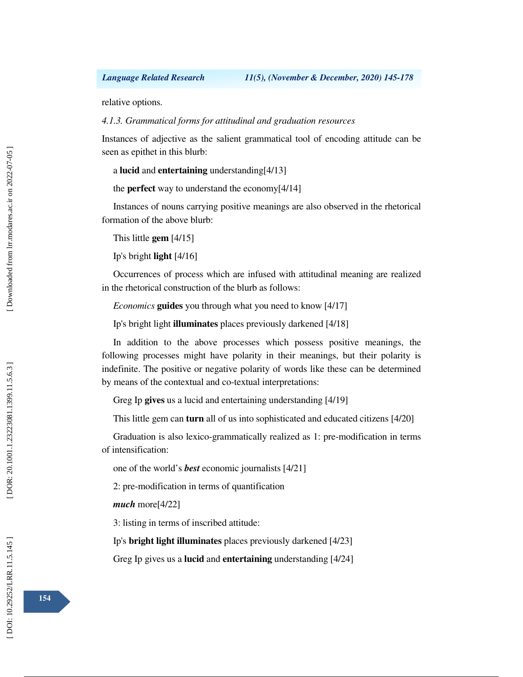relative options.

### *4.1.3. Grammatical forms for attitudinal and graduation resources*

Instances of adjective as the salient grammatical tool of encoding attitude can be seen as epithet in this blurb:

a **lucid** and **entertaining** understanding[4/13]

the **perfect** way to understand the economy[4/14]

Instances of nouns carrying positive meanings are also observed in the rhetorical formation of the above blurb:

This little **gem** [4/15]

Ip's bright **light** [4/16]

Occurrences of process which are infused with attitudinal meaning are realized in the rhetorical construction of the blurb as follows:

*Economics* **guides** you through what you need to know [4/17]

Ip's bright light **illuminates** places previously darkened [4/18]

In addition to the above processes which possess positive meanings, the following processes might have polarity in their meanings, but their polarity is indefinite. The positive or negative polarity of words like these can be determined by means of the contextual and co-textual interpretations:

Greg Ip **gives** us a lucid and entertaining understanding [4/19]

This little gem can **turn** all of us into sophisticated and educated citizens [4/20]

Graduation is also lexico-grammatically realized as 1: pre-modification in terms of intensification:

one of the world's *best* economic journalists [4/21]

2: pre-modification in terms of quantification

*much* more[4/22]

3: listing in terms of inscribed attitude:

Ip's **bright light illuminates** places previously darkened [4/23]

Greg Ip gives us a **lucid** and **entertaining** understanding [4/24]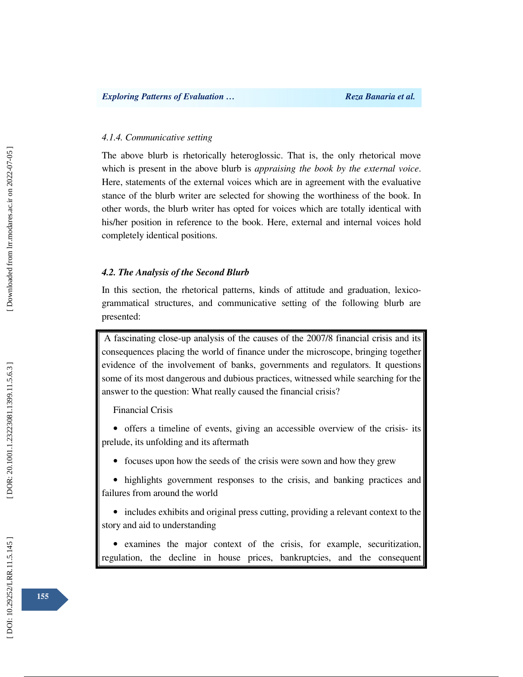#### *4.1.4. Communicative setting*

The above blurb is rhetorically heteroglossic. That is, the only rhetorical move which is present in the above blurb is *appraising the book by the external voice*. Here, statements of the external voices which are in agreement with the evaluative stance of the blurb writer are selected for showing the worthiness of the book. In other words, the blurb writer has opted for voices which are totally identical with his/her position in reference to the book. Here, external and internal voices hold completely identical positions.

### *4.2. The Analysis of the Second Blurb*

In this section, the rhetorical patterns, kinds of attitude and graduation, lexicogrammatical structures, and communicative setting of the following blurb are presented:

 A fascinating close-up analysis of the causes of the 2007/8 financial crisis and its consequences placing the world of finance under the microscope, bringing together evidence of the involvement of banks, governments and regulators. It questions some of its most dangerous and dubious practices, witnessed while searching for the answer to the question: What really caused the financial crisis?

Financial Crisis

• offers a timeline of events, giving an accessible overview of the crisis- its prelude, its unfolding and its aftermath

• focuses upon how the seeds of the crisis were sown and how they grew

• highlights government responses to the crisis, and banking practices and failures from around the world

• includes exhibits and original press cutting, providing a relevant context to the story and aid to understanding

• examines the major context of the crisis, for example, securitization, regulation, the decline in house prices, bankruptcies, and the consequent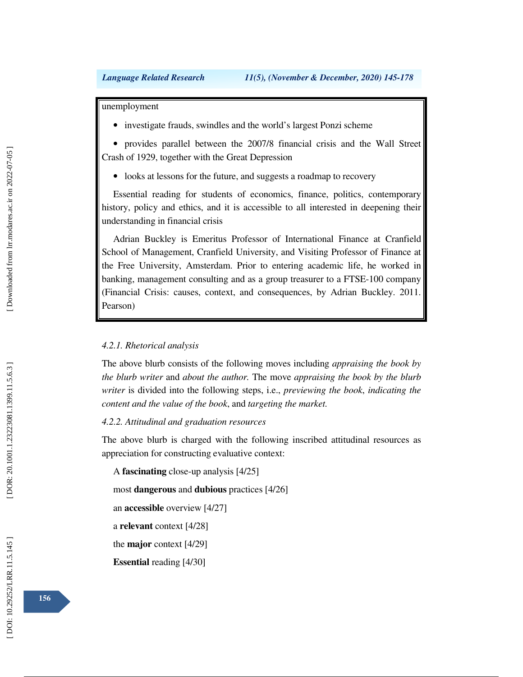unemployment

• investigate frauds, swindles and the world's largest Ponzi scheme

• provides parallel between the 2007/8 financial crisis and the Wall Street Crash of 1929, together with the Great Depression

• looks at lessons for the future, and suggests a roadmap to recovery

Essential reading for students of economics, finance, politics, contemporary history, policy and ethics, and it is accessible to all interested in deepening their understanding in financial crisis

Adrian Buckley is Emeritus Professor of International Finance at Cranfield School of Management, Cranfield University, and Visiting Professor of Finance at the Free University, Amsterdam. Prior to entering academic life, he worked in banking, management consulting and as a group treasurer to a FTSE-100 company (Financial Crisis: causes, context, and consequences, by Adrian Buckley. 2011. Pearson)

## *4.2.1. Rhetorical analysis*

The above blurb consists of the following moves including *appraising the book by the blurb writer* and *about the author.* The move *appraising the book by the blurb writer* is divided into the following steps, i.e., *previewing the book*, *indicating the content and the value of the book*, and *targeting the market.* 

## *4.2.2. Attitudinal and graduation resources*

The above blurb is charged with the following inscribed attitudinal resources as appreciation for constructing evaluative context:

A **fascinating** close-up analysis [4/25]

most **dangerous** and **dubious** practices [4/26]

an **accessible** overview [4/27]

a **relevant** context [4/28]

the **major** context [4/29]

**Essential** reading [4/30]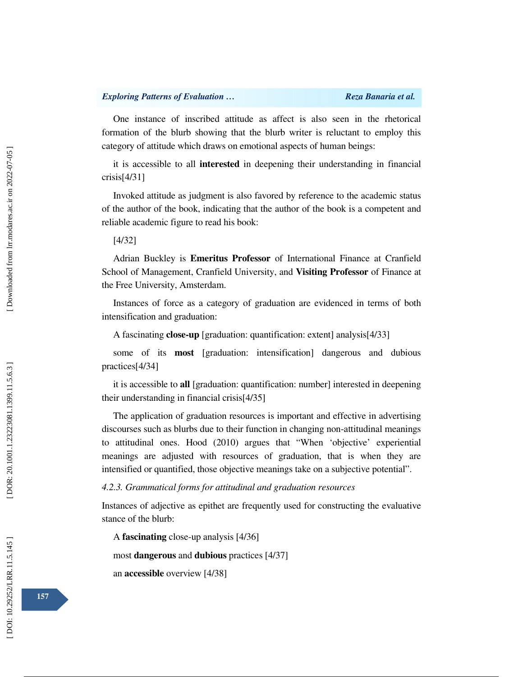One instance of inscribed attitude as affect is also seen in the rhetorical formation of the blurb showing that the blurb writer is reluctant to employ this category of attitude which draws on emotional aspects of human beings:

it is accessible to all **interested** in deepening their understanding in financial crisis[4/31]

Invoked attitude as judgment is also favored by reference to the academic status of the author of the book, indicating that the author of the book is a competent and reliable academic figure to read his book:

[4/32]

Adrian Buckley is **Emeritus Professor** of International Finance at Cranfield School of Management, Cranfield University, and **Visiting Professor** of Finance at the Free University, Amsterdam.

Instances of force as a category of graduation are evidenced in terms of both intensification and graduation:

A fascinating **close-up** [graduation: quantification: extent] analysis[4/33]

some of its **most** [graduation: intensification] dangerous and dubious practices[4/34]

it is accessible to **all** [graduation: quantification: number] interested in deepening their understanding in financial crisis[4/35]

The application of graduation resources is important and effective in advertising discourses such as blurbs due to their function in changing non-attitudinal meanings to attitudinal ones. Hood (2010) argues that "When 'objective' experiential meanings are adjusted with resources of graduation, that is when they are intensified or quantified, those objective meanings take on a subjective potential".

*4.2.3. Grammatical forms for attitudinal and graduation resources* 

Instances of adjective as epithet are frequently used for constructing the evaluative stance of the blurb:

A **fascinating** close-up analysis [4/36]

most **dangerous** and **dubious** practices [4/37]

an **accessible** overview [4/38]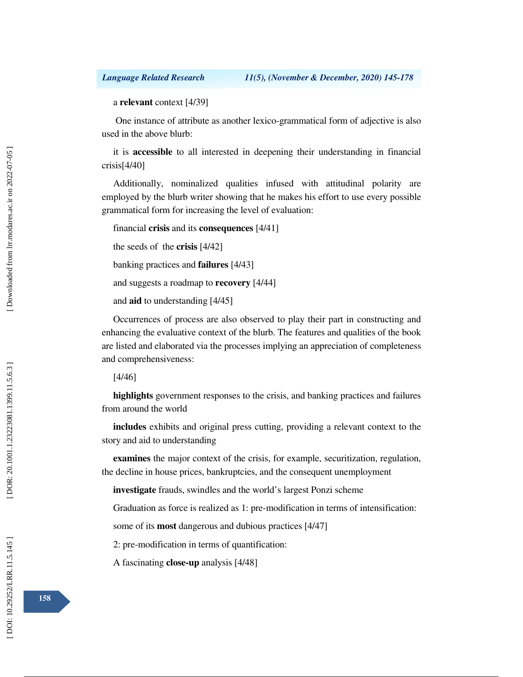### a **relevant** context [4/39]

 One instance of attribute as another lexico-grammatical form of adjective is also used in the above blurb:

it is **accessible** to all interested in deepening their understanding in financial crisis[4/40]

Additionally, nominalized qualities infused with attitudinal polarity are employed by the blurb writer showing that he makes his effort to use every possible grammatical form for increasing the level of evaluation:

```
financial crisis and its consequences [4/41]
```
the seeds of the **crisis** [4/42]

banking practices and **failures** [4/43]

and suggests a roadmap to **recovery** [4/44]

and **aid** to understanding [4/45]

Occurrences of process are also observed to play their part in constructing and enhancing the evaluative context of the blurb. The features and qualities of the book are listed and elaborated via the processes implying an appreciation of completeness and comprehensiveness:

[4/46]

**highlights** government responses to the crisis, and banking practices and failures from around the world

**includes** exhibits and original press cutting, providing a relevant context to the story and aid to understanding

**examines** the major context of the crisis, for example, securitization, regulation, the decline in house prices, bankruptcies, and the consequent unemployment

**investigate** frauds, swindles and the world's largest Ponzi scheme

Graduation as force is realized as 1: pre-modification in terms of intensification:

some of its **most** dangerous and dubious practices [4/47]

2: pre-modification in terms of quantification:

A fascinating **close-up** analysis [4/48]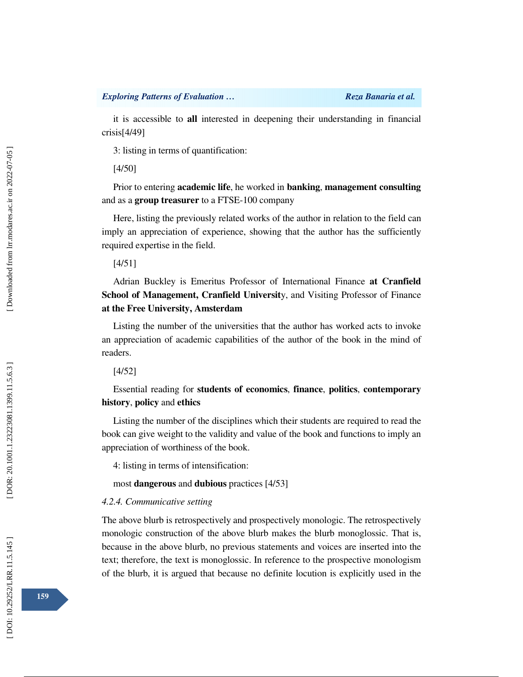it is accessible to **all** interested in deepening their understanding in financial crisis[4/49]

3: listing in terms of quantification:

[4/50]

Prior to entering **academic life**, he worked in **banking**, **management consulting** and as a **group treasurer** to a FTSE-100 company

Here, listing the previously related works of the author in relation to the field can imply an appreciation of experience, showing that the author has the sufficiently required expertise in the field.

[4/51]

Adrian Buckley is Emeritus Professor of International Finance **at Cranfield School of Management, Cranfield Universit**y, and Visiting Professor of Finance **at the Free University, Amsterdam**

Listing the number of the universities that the author has worked acts to invoke an appreciation of academic capabilities of the author of the book in the mind of readers.

[4/52]

Essential reading for **students of economics**, **finance**, **politics**, **contemporary history**, **policy** and **ethics** 

Listing the number of the disciplines which their students are required to read the book can give weight to the validity and value of the book and functions to imply an appreciation of worthiness of the book.

4: listing in terms of intensification:

most **dangerous** and **dubious** practices [4/53]

### *4.2.4. Communicative setting*

The above blurb is retrospectively and prospectively monologic. The retrospectively monologic construction of the above blurb makes the blurb monoglossic. That is, because in the above blurb, no previous statements and voices are inserted into the text; therefore, the text is monoglossic. In reference to the prospective monologism of the blurb, it is argued that because no definite locution is explicitly used in the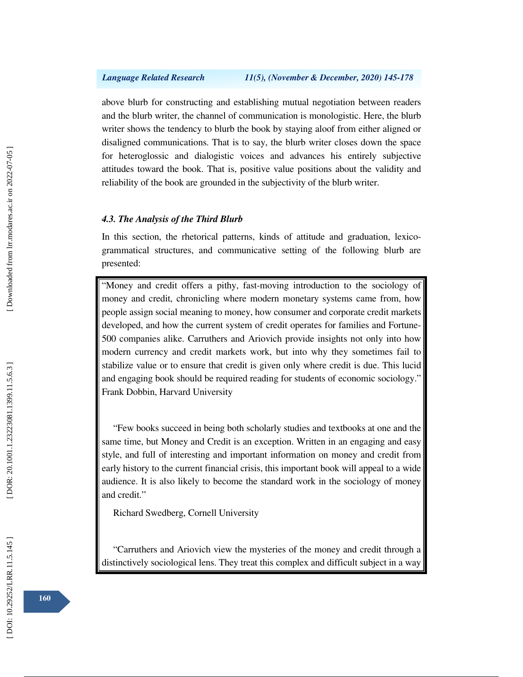above blurb for constructing and establishing mutual negotiation between readers and the blurb writer, the channel of communication is monologistic. Here, the blurb writer shows the tendency to blurb the book by staying aloof from either aligned or disaligned communications. That is to say, the blurb writer closes down the space for heteroglossic and dialogistic voices and advances his entirely subjective attitudes toward the book. That is, positive value positions about the validity and reliability of the book are grounded in the subjectivity of the blurb writer.

#### *4.3. The Analysis of the Third Blurb*

In this section, the rhetorical patterns, kinds of attitude and graduation, lexicogrammatical structures, and communicative setting of the following blurb are presented:

"Money and credit offers a pithy, fast-moving introduction to the sociology of money and credit, chronicling where modern monetary systems came from, how people assign social meaning to money, how consumer and corporate credit markets developed, and how the current system of credit operates for families and Fortune-500 companies alike. Carruthers and Ariovich provide insights not only into how modern currency and credit markets work, but into why they sometimes fail to stabilize value or to ensure that credit is given only where credit is due. This lucid and engaging book should be required reading for students of economic sociology." Frank Dobbin, Harvard University

"Few books succeed in being both scholarly studies and textbooks at one and the same time, but Money and Credit is an exception. Written in an engaging and easy style, and full of interesting and important information on money and credit from early history to the current financial crisis, this important book will appeal to a wide audience. It is also likely to become the standard work in the sociology of money and credit."

Richard Swedberg, Cornell University

"Carruthers and Ariovich view the mysteries of the money and credit through a distinctively sociological lens. They treat this complex and difficult subject in a way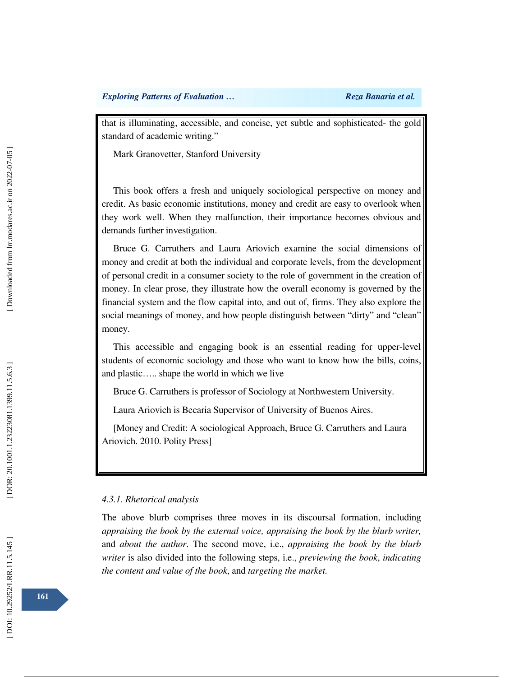that is illuminating, accessible, and concise, yet subtle and sophisticated- the gold standard of academic writing."

Mark Granovetter, Stanford University

This book offers a fresh and uniquely sociological perspective on money and credit. As basic economic institutions, money and credit are easy to overlook when they work well. When they malfunction, their importance becomes obvious and demands further investigation.

Bruce G. Carruthers and Laura Ariovich examine the social dimensions of money and credit at both the individual and corporate levels, from the development of personal credit in a consumer society to the role of government in the creation of money. In clear prose, they illustrate how the overall economy is governed by the financial system and the flow capital into, and out of, firms. They also explore the social meanings of money, and how people distinguish between "dirty" and "clean" money.

This accessible and engaging book is an essential reading for upper-level students of economic sociology and those who want to know how the bills, coins, and plastic….. shape the world in which we live

Bruce G. Carruthers is professor of Sociology at Northwestern University.

Laura Ariovich is Becaria Supervisor of University of Buenos Aires.

[Money and Credit: A sociological Approach, Bruce G. Carruthers and Laura Ariovich. 2010. Polity Press]

### *4.3.1. Rhetorical analysis*

The above blurb comprises three moves in its discoursal formation, including *appraising the book by the external voice, appraising the book by the blurb writer,*  and *about the author*. The second move, i.e., *appraising the book by the blurb writer* is also divided into the following steps, i.e., *previewing the book*, *indicating the content and value of the book*, and *targeting the market.*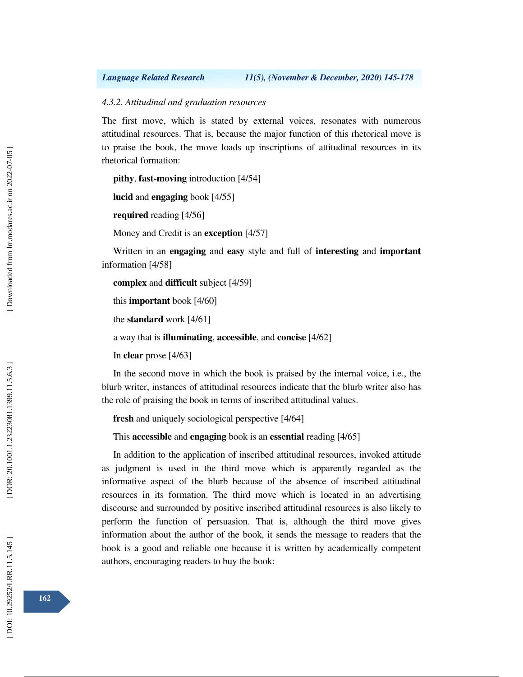## *4.3.2. Attitudinal and graduation resources*

The first move, which is stated by external voices, resonates with numerous attitudinal resources. That is, because the major function of this rhetorical move is to praise the book, the move loads up inscriptions of attitudinal resources in its rhetorical formation:

**pithy**, **fast-moving** introduction [4/54]

**lucid** and **engaging** book [4/55]

**required** reading [4/56]

Money and Credit is an **exception** [4/57]

Written in an **engaging** and **easy** style and full of **interesting** and **important** information [4/58]

**complex** and **difficult** subject [4/59]

this **important** book [4/60]

the **standard** work [4/61]

a way that is **illuminating**, **accessible**, and **concise** [4/62]

In **clear** prose [4/63]

In the second move in which the book is praised by the internal voice, i.e., the blurb writer, instances of attitudinal resources indicate that the blurb writer also has the role of praising the book in terms of inscribed attitudinal values.

**fresh** and uniquely sociological perspective [4/64]

This **accessible** and **engaging** book is an **essential** reading [4/65]

In addition to the application of inscribed attitudinal resources, invoked attitude as judgment is used in the third move which is apparently regarded as the informative aspect of the blurb because of the absence of inscribed attitudinal resources in its formation. The third move which is located in an advertising discourse and surrounded by positive inscribed attitudinal resources is also likely to perform the function of persuasion. That is, although the third move gives information about the author of the book, it sends the message to readers that the book is a good and reliable one because it is written by academically competent authors, encouraging readers to buy the book: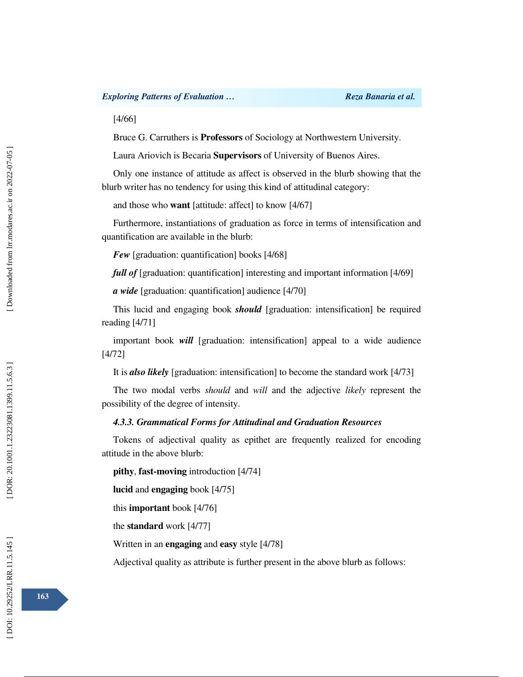## *Exploring Patterns of Evaluation … Reza Banaria et al. Reza Banaria et al.*

[4/66]

Bruce G. Carruthers is **Professors** of Sociology at Northwestern University.

Laura Ariovich is Becaria **Supervisors** of University of Buenos Aires.

Only one instance of attitude as affect is observed in the blurb showing that the blurb writer has no tendency for using this kind of attitudinal category:

and those who **want** [attitude: affect] to know [4/67]

Furthermore, instantiations of graduation as force in terms of intensification and quantification are available in the blurb:

*Few* [graduation: quantification] books [4/68]

*full of* [graduation: quantification] interesting and important information [4/69]

*a wide* [graduation: quantification] audience [4/70]

This lucid and engaging book *should* [graduation: intensification] be required reading [4/71]

important book *will* [graduation: intensification] appeal to a wide audience [4/72]

It is *also likely* [graduation: intensification] to become the standard work [4/73]

The two modal verbs *should* and *will* and the adjective *likely* represent the possibility of the degree of intensity.

## *4.3.3. Grammatical Forms for Attitudinal and Graduation Resources*

Tokens of adjectival quality as epithet are frequently realized for encoding attitude in the above blurb:

**pithy**, **fast-moving** introduction [4/74]

**lucid** and **engaging** book [4/75]

this **important** book [4/76]

the **standard** work [4/77]

Written in an **engaging** and **easy** style [4/78]

Adjectival quality as attribute is further present in the above blurb as follows: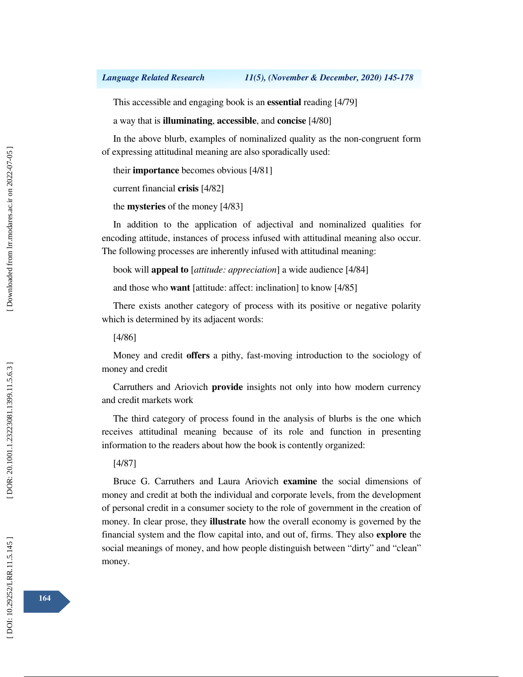This accessible and engaging book is an **essential** reading [4/79]

a way that is **illuminating**, **accessible**, and **concise** [4/80]

In the above blurb, examples of nominalized quality as the non-congruent form of expressing attitudinal meaning are also sporadically used:

```
their importance becomes obvious [4/81]
```
current financial **crisis** [4/82]

the **mysteries** of the money [4/83]

In addition to the application of adjectival and nominalized qualities for encoding attitude, instances of process infused with attitudinal meaning also occur. The following processes are inherently infused with attitudinal meaning:

book will **appeal to**  [*attitude: appreciation*] a wide audience [4/84]

and those who **want** [attitude: affect: inclination] to know [4/85]

There exists another category of process with its positive or negative polarity which is determined by its adjacent words:

[4/86]

Money and credit **offers** a pithy, fast-moving introduction to the sociology of money and credit

Carruthers and Ariovich **provide** insights not only into how modern currency and credit markets work

The third category of process found in the analysis of blurbs is the one which receives attitudinal meaning because of its role and function in presenting information to the readers about how the book is contently organized:

[4/87]

Bruce G. Carruthers and Laura Ariovich **examine** the social dimensions of money and credit at both the individual and corporate levels, from the development of personal credit in a consumer society to the role of government in the creation of money. In clear prose, they **illustrate** how the overall economy is governed by the financial system and the flow capital into, and out of, firms. They also **explore** the social meanings of money, and how people distinguish between "dirty" and "clean" money.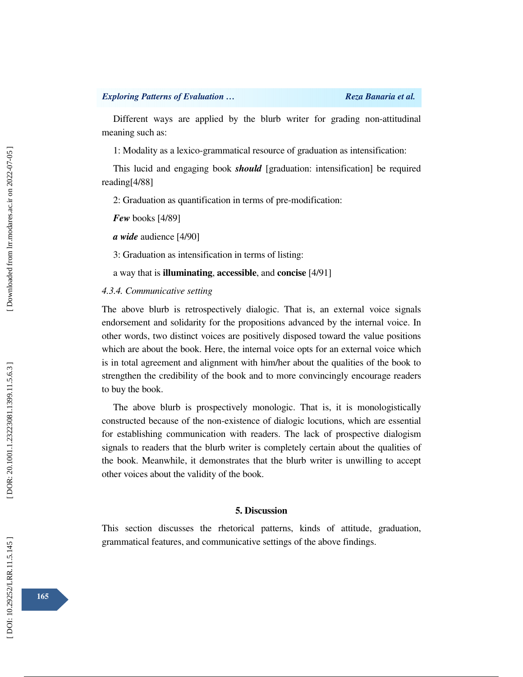Different ways are applied by the blurb writer for grading non-attitudinal meaning such as:

1: Modality as a lexico-grammatical resource of graduation as intensification:

This lucid and engaging book *should* [graduation: intensification] be required reading[4/88]

2: Graduation as quantification in terms of pre-modification:

*Few* books [4/89]

*a wide* audience [4/90]

3: Graduation as intensification in terms of listing:

a way that is **illuminating**, **accessible**, and **concise** [4/91]

## *4.3.4. Communicative setting*

The above blurb is retrospectively dialogic. That is, an external voice signals endorsement and solidarity for the propositions advanced by the internal voice. In other words, two distinct voices are positively disposed toward the value positions which are about the book. Here, the internal voice opts for an external voice which is in total agreement and alignment with him/her about the qualities of the book to strengthen the credibility of the book and to more convincingly encourage readers to buy the book.

The above blurb is prospectively monologic. That is, it is monologistically constructed because of the non-existence of dialogic locutions, which are essential for establishing communication with readers. The lack of prospective dialogism signals to readers that the blurb writer is completely certain about the qualities of the book. Meanwhile, it demonstrates that the blurb writer is unwilling to accept other voices about the validity of the book.

#### **5. Discussion**

This section discusses the rhetorical patterns, kinds of attitude, graduation, grammatical features, and communicative settings of the above findings.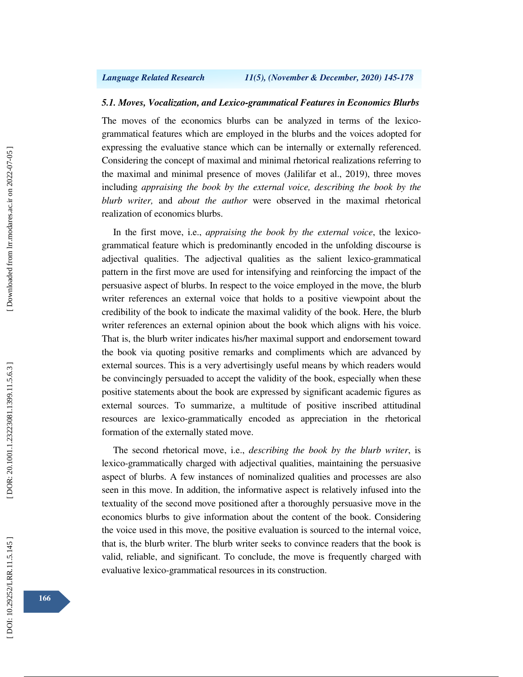#### *5.1. Moves, Vocalization, and Lexico-grammatical Features in Economics Blurbs*

The moves of the economics blurbs can be analyzed in terms of the lexicogrammatical features which are employed in the blurbs and the voices adopted for expressing the evaluative stance which can be internally or externally referenced. Considering the concept of maximal and minimal rhetorical realizations referring to the maximal and minimal presence of moves (Jalilifar et al., 2019), three moves including *appraising the book by the external voice, describing the book by the blurb writer,* and *about the author* were observed in the maximal rhetorical realization of economics blurbs.

In the first move, i.e., *appraising the book by the external voice*, the lexicogrammatical feature which is predominantly encoded in the unfolding discourse is adjectival qualities. The adjectival qualities as the salient lexico-grammatical pattern in the first move are used for intensifying and reinforcing the impact of the persuasive aspect of blurbs. In respect to the voice employed in the move, the blurb writer references an external voice that holds to a positive viewpoint about the credibility of the book to indicate the maximal validity of the book. Here, the blurb writer references an external opinion about the book which aligns with his voice. That is, the blurb writer indicates his/her maximal support and endorsement toward the book via quoting positive remarks and compliments which are advanced by external sources. This is a very advertisingly useful means by which readers would be convincingly persuaded to accept the validity of the book, especially when these positive statements about the book are expressed by significant academic figures as external sources. To summarize, a multitude of positive inscribed attitudinal resources are lexico-grammatically encoded as appreciation in the rhetorical formation of the externally stated move.

The second rhetorical move, i.e., *describing the book by the blurb writer*, is lexico-grammatically charged with adjectival qualities, maintaining the persuasive aspect of blurbs. A few instances of nominalized qualities and processes are also seen in this move. In addition, the informative aspect is relatively infused into the textuality of the second move positioned after a thoroughly persuasive move in the economics blurbs to give information about the content of the book. Considering the voice used in this move, the positive evaluation is sourced to the internal voice, that is, the blurb writer. The blurb writer seeks to convince readers that the book is valid, reliable, and significant. To conclude, the move is frequently charged with evaluative lexico-grammatical resources in its construction.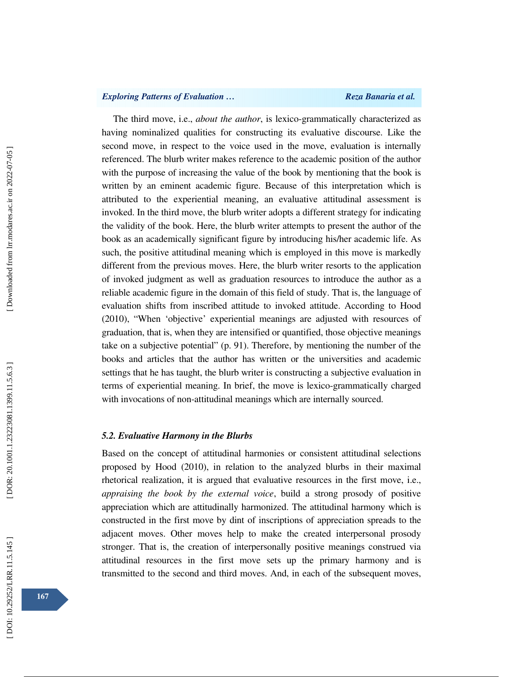## *Exploring Patterns of Evaluation … Reza Banaria et al. Reza Banaria et al.*

The third move, i.e., *about the author*, is lexico-grammatically characterized as having nominalized qualities for constructing its evaluative discourse. Like the second move, in respect to the voice used in the move, evaluation is internally referenced. The blurb writer makes reference to the academic position of the author with the purpose of increasing the value of the book by mentioning that the book is written by an eminent academic figure. Because of this interpretation which is attributed to the experiential meaning, an evaluative attitudinal assessment is invoked. In the third move, the blurb writer adopts a different strategy for indicating the validity of the book. Here, the blurb writer attempts to present the author of the book as an academically significant figure by introducing his/her academic life. As such, the positive attitudinal meaning which is employed in this move is markedly different from the previous moves. Here, the blurb writer resorts to the application of invoked judgment as well as graduation resources to introduce the author as a reliable academic figure in the domain of this field of study. That is, the language of evaluation shifts from inscribed attitude to invoked attitude. According to Hood (2010), "When 'objective' experiential meanings are adjusted with resources of graduation, that is, when they are intensified or quantified, those objective meanings take on a subjective potential" (p. 91). Therefore, by mentioning the number of the books and articles that the author has written or the universities and academic settings that he has taught, the blurb writer is constructing a subjective evaluation in terms of experiential meaning. In brief, the move is lexico-grammatically charged with invocations of non-attitudinal meanings which are internally sourced.

#### *5.2. Evaluative Harmony in the Blurbs*

Based on the concept of attitudinal harmonies or consistent attitudinal selections proposed by Hood (2010), in relation to the analyzed blurbs in their maximal rhetorical realization, it is argued that evaluative resources in the first move, i.e., *appraising the book by the external voice*, build a strong prosody of positive appreciation which are attitudinally harmonized. The attitudinal harmony which is constructed in the first move by dint of inscriptions of appreciation spreads to the adjacent moves. Other moves help to make the created interpersonal prosody stronger. That is, the creation of interpersonally positive meanings construed via attitudinal resources in the first move sets up the primary harmony and is transmitted to the second and third moves. And, in each of the subsequent moves,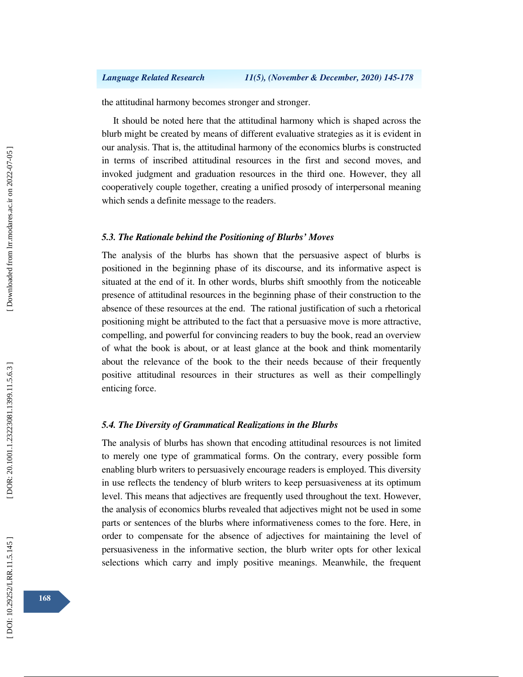the attitudinal harmony becomes stronger and stronger.

It should be noted here that the attitudinal harmony which is shaped across the blurb might be created by means of different evaluative strategies as it is evident in our analysis. That is, the attitudinal harmony of the economics blurbs is constructed in terms of inscribed attitudinal resources in the first and second moves, and invoked judgment and graduation resources in the third one. However, they all cooperatively couple together, creating a unified prosody of interpersonal meaning which sends a definite message to the readers.

#### *5.3. The Rationale behind the Positioning of Blurbs' Moves*

The analysis of the blurbs has shown that the persuasive aspect of blurbs is positioned in the beginning phase of its discourse, and its informative aspect is situated at the end of it. In other words, blurbs shift smoothly from the noticeable presence of attitudinal resources in the beginning phase of their construction to the absence of these resources at the end. The rational justification of such a rhetorical positioning might be attributed to the fact that a persuasive move is more attractive, compelling, and powerful for convincing readers to buy the book, read an overview of what the book is about, or at least glance at the book and think momentarily about the relevance of the book to the their needs because of their frequently positive attitudinal resources in their structures as well as their compellingly enticing force.

## *5.4. The Diversity of Grammatical Realizations in the Blurbs*

The analysis of blurbs has shown that encoding attitudinal resources is not limited to merely one type of grammatical forms. On the contrary, every possible form enabling blurb writers to persuasively encourage readers is employed. This diversity in use reflects the tendency of blurb writers to keep persuasiveness at its optimum level. This means that adjectives are frequently used throughout the text. However, the analysis of economics blurbs revealed that adjectives might not be used in some parts or sentences of the blurbs where informativeness comes to the fore. Here, in order to compensate for the absence of adjectives for maintaining the level of persuasiveness in the informative section, the blurb writer opts for other lexical selections which carry and imply positive meanings. Meanwhile, the frequent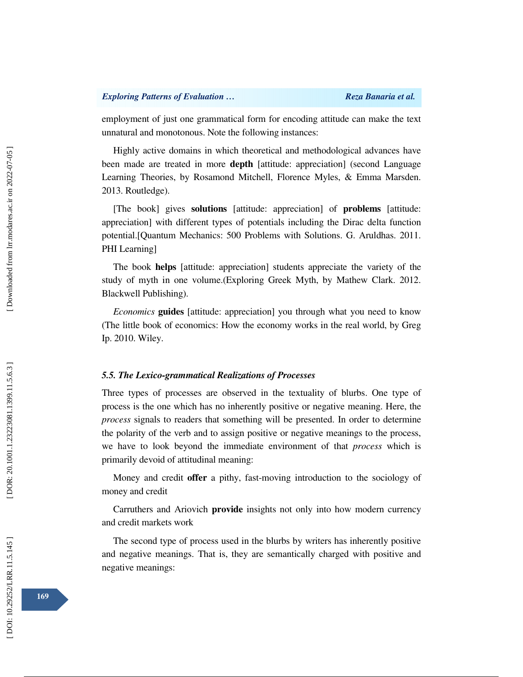employment of just one grammatical form for encoding attitude can make the text unnatural and monotonous. Note the following instances:

Highly active domains in which theoretical and methodological advances have been made are treated in more **depth** [attitude: appreciation] (second Language Learning Theories, by Rosamond Mitchell, Florence Myles, & Emma Marsden. 2013. Routledge).

[The book] gives **solutions** [attitude: appreciation] of **problems** [attitude: appreciation] with different types of potentials including the Dirac delta function potential.[Quantum Mechanics: 500 Problems with Solutions. G. Aruldhas. 2011. PHI Learning]

The book **helps** [attitude: appreciation] students appreciate the variety of the study of myth in one volume.(Exploring Greek Myth, by Mathew Clark. 2012. Blackwell Publishing).

*Economics* **guides** [attitude: appreciation] you through what you need to know (The little book of economics: How the economy works in the real world, by Greg Ip. 2010. Wiley.

### *5.5. The Lexico-grammatical Realizations of Processes*

Three types of processes are observed in the textuality of blurbs. One type of process is the one which has no inherently positive or negative meaning. Here, the *process* signals to readers that something will be presented. In order to determine the polarity of the verb and to assign positive or negative meanings to the process, we have to look beyond the immediate environment of that *process* which is primarily devoid of attitudinal meaning:

Money and credit **offer** a pithy, fast-moving introduction to the sociology of money and credit

Carruthers and Ariovich **provide** insights not only into how modern currency and credit markets work

The second type of process used in the blurbs by writers has inherently positive and negative meanings. That is, they are semantically charged with positive and negative meanings: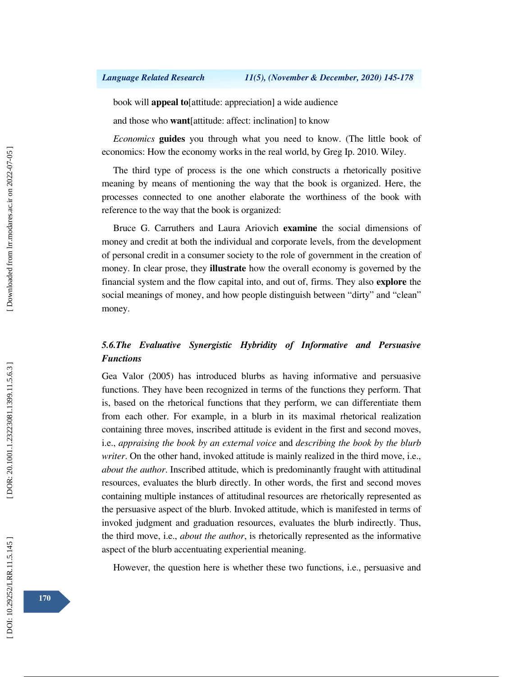### *Language Related Research 11(5), (November & December, 2020) 145-178*

book will **appeal to**[attitude: appreciation] a wide audience

and those who **want**[attitude: affect: inclination] to know

*Economics* **guides** you through what you need to know. (The little book of economics: How the economy works in the real world, by Greg Ip. 2010. Wiley.

The third type of process is the one which constructs a rhetorically positive meaning by means of mentioning the way that the book is organized. Here, the processes connected to one another elaborate the worthiness of the book with reference to the way that the book is organized:

Bruce G. Carruthers and Laura Ariovich **examine** the social dimensions of money and credit at both the individual and corporate levels, from the development of personal credit in a consumer society to the role of government in the creation of money. In clear prose, they **illustrate** how the overall economy is governed by the financial system and the flow capital into, and out of, firms. They also **explore** the social meanings of money, and how people distinguish between "dirty" and "clean" money.

# *5.6.The Evaluative Synergistic Hybridity of Informative and Persuasive Functions*

Gea Valor (2005) has introduced blurbs as having informative and persuasive functions. They have been recognized in terms of the functions they perform. That is, based on the rhetorical functions that they perform, we can differentiate them from each other. For example, in a blurb in its maximal rhetorical realization containing three moves, inscribed attitude is evident in the first and second moves, i.e., *appraising the book by an external voice* and *describing the book by the blurb writer*. On the other hand, invoked attitude is mainly realized in the third move, i.e., *about the author*. Inscribed attitude, which is predominantly fraught with attitudinal resources, evaluates the blurb directly. In other words, the first and second moves containing multiple instances of attitudinal resources are rhetorically represented as the persuasive aspect of the blurb. Invoked attitude, which is manifested in terms of invoked judgment and graduation resources, evaluates the blurb indirectly. Thus, the third move, i.e., *about the author*, is rhetorically represented as the informative aspect of the blurb accentuating experiential meaning.

However, the question here is whether these two functions, i.e., persuasive and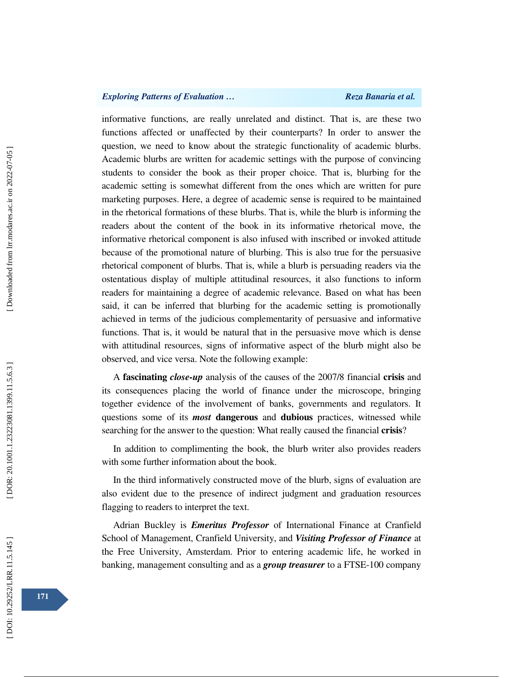## *Exploring Patterns of Evaluation … Reza Banaria et al. Reza Banaria et al.*

informative functions, are really unrelated and distinct. That is, are these two functions affected or unaffected by their counterparts? In order to answer the question, we need to know about the strategic functionality of academic blurbs. Academic blurbs are written for academic settings with the purpose of convincing students to consider the book as their proper choice. That is, blurbing for the academic setting is somewhat different from the ones which are written for pure marketing purposes. Here, a degree of academic sense is required to be maintained in the rhetorical formations of these blurbs. That is, while the blurb is informing the readers about the content of the book in its informative rhetorical move, the informative rhetorical component is also infused with inscribed or invoked attitude because of the promotional nature of blurbing. This is also true for the persuasive rhetorical component of blurbs. That is, while a blurb is persuading readers via the ostentatious display of multiple attitudinal resources, it also functions to inform readers for maintaining a degree of academic relevance. Based on what has been said, it can be inferred that blurbing for the academic setting is promotionally achieved in terms of the judicious complementarity of persuasive and informative functions. That is, it would be natural that in the persuasive move which is dense with attitudinal resources, signs of informative aspect of the blurb might also be observed, and vice versa. Note the following example:

A **fascinating** *close-up* analysis of the causes of the 2007/8 financial **crisis** and its consequences placing the world of finance under the microscope, bringing together evidence of the involvement of banks, governments and regulators. It questions some of its *most* **dangerous** and **dubious** practices, witnessed while searching for the answer to the question: What really caused the financial **crisis**?

In addition to complimenting the book, the blurb writer also provides readers with some further information about the book.

In the third informatively constructed move of the blurb, signs of evaluation are also evident due to the presence of indirect judgment and graduation resources flagging to readers to interpret the text.

Adrian Buckley is *Emeritus Professor* of International Finance at Cranfield School of Management, Cranfield University, and *Visiting Professor of Finance* at the Free University, Amsterdam. Prior to entering academic life, he worked in banking, management consulting and as a *group treasurer* to a FTSE-100 company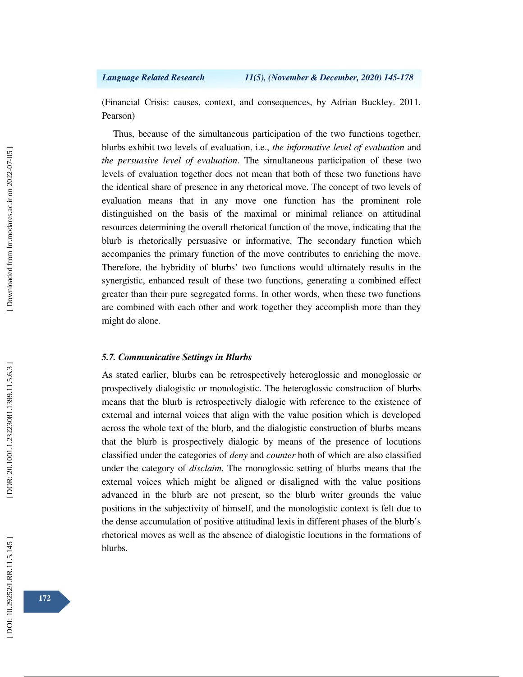(Financial Crisis: causes, context, and consequences, by Adrian Buckley. 2011. Pearson)

Thus, because of the simultaneous participation of the two functions together, blurbs exhibit two levels of evaluation, i.e., *the informative level of evaluation* and *the persuasive level of evaluation*. The simultaneous participation of these two levels of evaluation together does not mean that both of these two functions have the identical share of presence in any rhetorical move. The concept of two levels of evaluation means that in any move one function has the prominent role distinguished on the basis of the maximal or minimal reliance on attitudinal resources determining the overall rhetorical function of the move, indicating that the blurb is rhetorically persuasive or informative. The secondary function which accompanies the primary function of the move contributes to enriching the move. Therefore, the hybridity of blurbs' two functions would ultimately results in the synergistic, enhanced result of these two functions, generating a combined effect greater than their pure segregated forms. In other words, when these two functions are combined with each other and work together they accomplish more than they might do alone.

## *5.7. Communicative Settings in Blurbs*

As stated earlier, blurbs can be retrospectively heteroglossic and monoglossic or prospectively dialogistic or monologistic. The heteroglossic construction of blurbs means that the blurb is retrospectively dialogic with reference to the existence of external and internal voices that align with the value position which is developed across the whole text of the blurb, and the dialogistic construction of blurbs means that the blurb is prospectively dialogic by means of the presence of locutions classified under the categories of *deny* and *counter* both of which are also classified under the category of *disclaim*. The monoglossic setting of blurbs means that the external voices which might be aligned or disaligned with the value positions advanced in the blurb are not present, so the blurb writer grounds the value positions in the subjectivity of himself, and the monologistic context is felt due to the dense accumulation of positive attitudinal lexis in different phases of the blurb's rhetorical moves as well as the absence of dialogistic locutions in the formations of blurbs.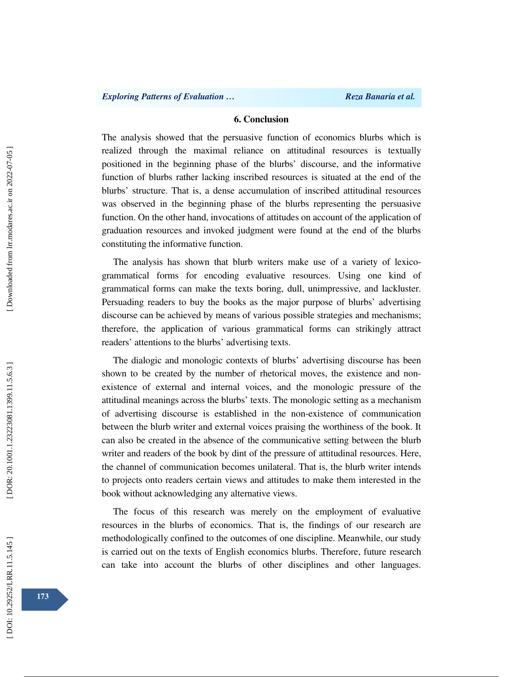## **6. Conclusion**

The analysis showed that the persuasive function of economics blurbs which is realized through the maximal reliance on attitudinal resources is textually positioned in the beginning phase of the blurbs' discourse, and the informative function of blurbs rather lacking inscribed resources is situated at the end of the blurbs' structure. That is, a dense accumulation of inscribed attitudinal resources was observed in the beginning phase of the blurbs representing the persuasive function. On the other hand, invocations of attitudes on account of the application of graduation resources and invoked judgment were found at the end of the blurbs constituting the informative function.

The analysis has shown that blurb writers make use of a variety of lexicogrammatical forms for encoding evaluative resources. Using one kind of grammatical forms can make the texts boring, dull, unimpressive, and lackluster. Persuading readers to buy the books as the major purpose of blurbs' advertising discourse can be achieved by means of various possible strategies and mechanisms; therefore, the application of various grammatical forms can strikingly attract readers' attentions to the blurbs' advertising texts.

The dialogic and monologic contexts of blurbs' advertising discourse has been shown to be created by the number of rhetorical moves, the existence and nonexistence of external and internal voices, and the monologic pressure of the attitudinal meanings across the blurbs' texts. The monologic setting as a mechanism of advertising discourse is established in the non-existence of communication between the blurb writer and external voices praising the worthiness of the book. It can also be created in the absence of the communicative setting between the blurb writer and readers of the book by dint of the pressure of attitudinal resources. Here, the channel of communication becomes unilateral. That is, the blurb writer intends to projects onto readers certain views and attitudes to make them interested in the book without acknowledging any alternative views.

The focus of this research was merely on the employment of evaluative resources in the blurbs of economics. That is, the findings of our research are methodologically confined to the outcomes of one discipline. Meanwhile, our study is carried out on the texts of English economics blurbs. Therefore, future research can take into account the blurbs of other disciplines and other languages.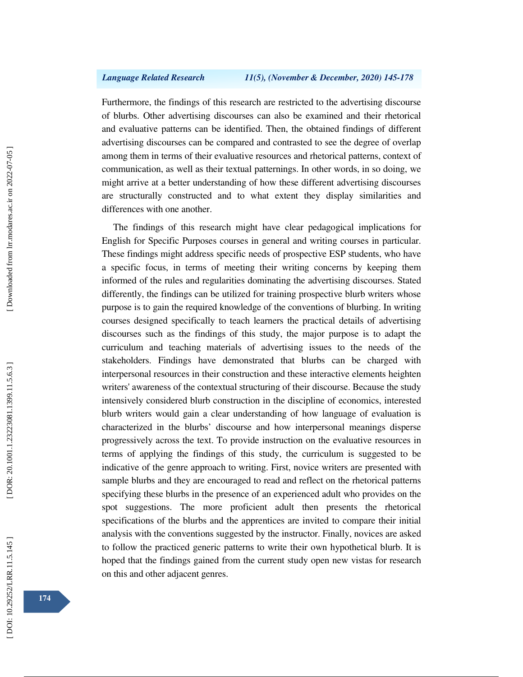Furthermore, the findings of this research are restricted to the advertising discourse of blurbs. Other advertising discourses can also be examined and their rhetorical and evaluative patterns can be identified. Then, the obtained findings of different advertising discourses can be compared and contrasted to see the degree of overlap among them in terms of their evaluative resources and rhetorical patterns, context of communication, as well as their textual patternings. In other words, in so doing, we might arrive at a better understanding of how these different advertising discourses are structurally constructed and to what extent they display similarities and differences with one another.

The findings of this research might have clear pedagogical implications for English for Specific Purposes courses in general and writing courses in particular. These findings might address specific needs of prospective ESP students, who have a specific focus, in terms of meeting their writing concerns by keeping them informed of the rules and regularities dominating the advertising discourses. Stated differently, the findings can be utilized for training prospective blurb writers whose purpose is to gain the required knowledge of the conventions of blurbing. In writing courses designed specifically to teach learners the practical details of advertising discourses such as the findings of this study, the major purpose is to adapt the curriculum and teaching materials of advertising issues to the needs of the stakeholders. Findings have demonstrated that blurbs can be charged with interpersonal resources in their construction and these interactive elements heighten writers' awareness of the contextual structuring of their discourse. Because the study intensively considered blurb construction in the discipline of economics, interested blurb writers would gain a clear understanding of how language of evaluation is characterized in the blurbs' discourse and how interpersonal meanings disperse progressively across the text. To provide instruction on the evaluative resources in terms of applying the findings of this study, the curriculum is suggested to be indicative of the genre approach to writing. First, novice writers are presented with sample blurbs and they are encouraged to read and reflect on the rhetorical patterns specifying these blurbs in the presence of an experienced adult who provides on the spot suggestions. The more proficient adult then presents the rhetorical specifications of the blurbs and the apprentices are invited to compare their initial analysis with the conventions suggested by the instructor. Finally, novices are asked to follow the practiced generic patterns to write their own hypothetical blurb. It is hoped that the findings gained from the current study open new vistas for research on this and other adjacent genres.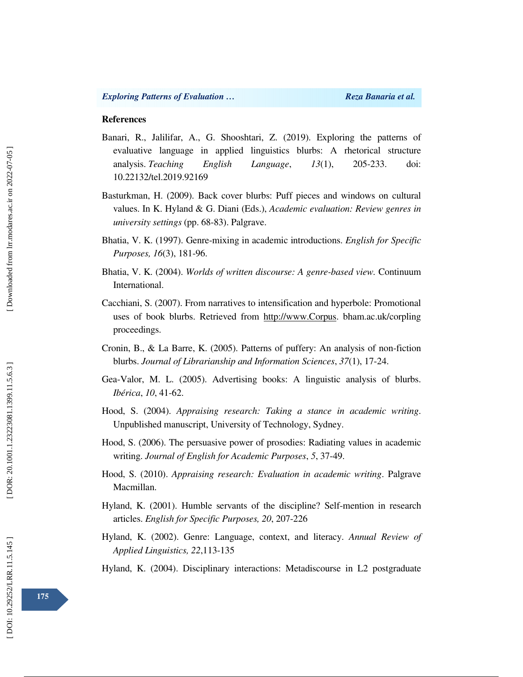### **References**

- Banari, R., Jalilifar, A., G. Shooshtari, Z. (2019). Exploring the patterns of evaluative language in applied linguistics blurbs: A rhetorical structure analysis. *Teaching English Language*, *13*(1), 205-233. doi: 10.22132/tel.2019.92169
- Basturkman, H. (2009). Back cover blurbs: Puff pieces and windows on cultural values. In K. Hyland & G. Diani (Eds.), *Academic evaluation: Review genres in university settings* (pp. 68-83). Palgrave.
- Bhatia, V. K. (1997). Genre-mixing in academic introductions. *English for Specific Purposes, 16*(3), 181-96.
- Bhatia, V. K. (2004). *Worlds of written discourse: A genre-based view.* Continuum International.
- Cacchiani, S. (2007). From narratives to intensification and hyperbole: Promotional uses of book blurbs. Retrieved from http://www.Corpus. bham.ac.uk/corpling proceedings.
- Cronin, B., & La Barre, K. (2005). Patterns of puffery: An analysis of non-fiction blurbs. *Journal of Librarianship and Information Sciences*, *37*(1), 17-24.
- Gea-Valor, M. L. (2005). Advertising books: A linguistic analysis of blurbs. *Ibérica*, *10*, 41-62.
- Hood, S. (2004). *Appraising research: Taking a stance in academic writing*. Unpublished manuscript, University of Technology, Sydney.
- Hood, S. (2006). The persuasive power of prosodies: Radiating values in academic writing. *Journal of English for Academic Purposes*, *5*, 37-49.
- Hood, S. (2010). *Appraising research: Evaluation in academic writing*. Palgrave Macmillan.
- Hyland, K. (2001). Humble servants of the discipline? Self-mention in research articles. *English for Specific Purposes, 20*, 207-226
- Hyland, K. (2002). Genre: Language, context, and literacy. *Annual Review of Applied Linguistics, 22*,113-135
- Hyland, K. (2004). Disciplinary interactions: Metadiscourse in L2 postgraduate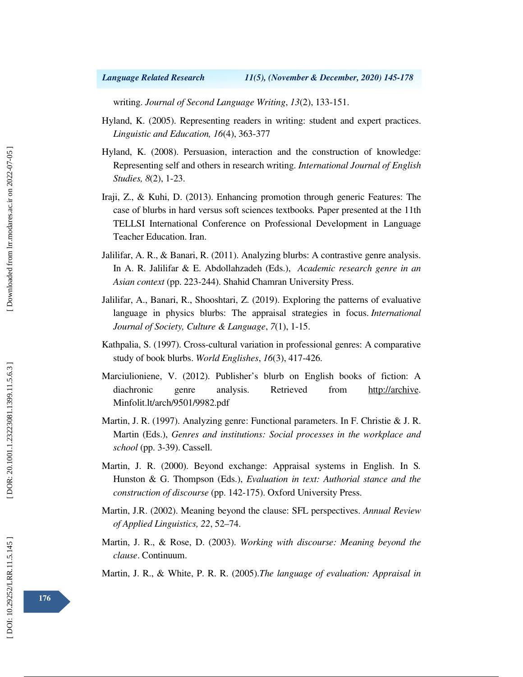writing. *Journal of Second Language Writing*, *13*(2), 133-151.

- Hyland, K. (2005). Representing readers in writing: student and expert practices. *Linguistic and Education, 16*(4), 363-377
- Hyland, K. (2008). Persuasion, interaction and the construction of knowledge: Representing self and others in research writing. *International Journal of English Studies, 8*(2), 1-23.
- Iraji, Z., & Kuhi, D. (2013). Enhancing promotion through generic Features: The case of blurbs in hard versus soft sciences textbooks *.* Paper presented at the 11th TELLSI International Conference on Professional Development in Language Teacher Education. Iran.
- Jalilifar, A. R., & Banari, R. (2011). Analyzing blurbs: A contrastive genre analysis. In A. R. Jalilifar & E. Abdollahzadeh (Eds.), *Academic research genre in an Asian context* (pp. 223-244). Shahid Chamran University Press.
- Jalilifar, A., Banari, R., Shooshtari, Z. (2019). Exploring the patterns of evaluative language in physics blurbs: The appraisal strategies in focus. *International Journal of Society, Culture & Language*, *7*(1), 1-15.
- Kathpalia, S. (1997). Cross-cultural variation in professional genres: A comparative study of book blurbs. *World Englishes*, *16*(3), 417-426.
- Marciulioniene, V. (2012). Publisher's blurb on English books of fiction: A diachronic genre analysis. Retrieved from http://archive. Minfolit.lt/arch/9501/9982.pdf
- Martin, J. R. (1997). Analyzing genre: Functional parameters. In F. Christie & J. R. Martin (Eds.), *Genres and institutions: Social processes in the workplace and school* (pp. 3-39). Cassell.
- Martin, J. R. (2000). Beyond exchange: Appraisal systems in English. In S*.*  Hunston & G. Thompson (Eds.), *Evaluation in text: Authorial stance and the construction of discourse* (pp. 142-175). Oxford University Press.
- Martin, J.R. (2002). Meaning beyond the clause: SFL perspectives. *Annual Review of Applied Linguistics, 22*, 52–74.
- Martin, J. R., & Rose, D. (2003). *Working with discourse: Meaning beyond the clause*. Continuum.
- Martin, J. R., & White, P. R. R. (2005).*The language of evaluation: Appraisal in*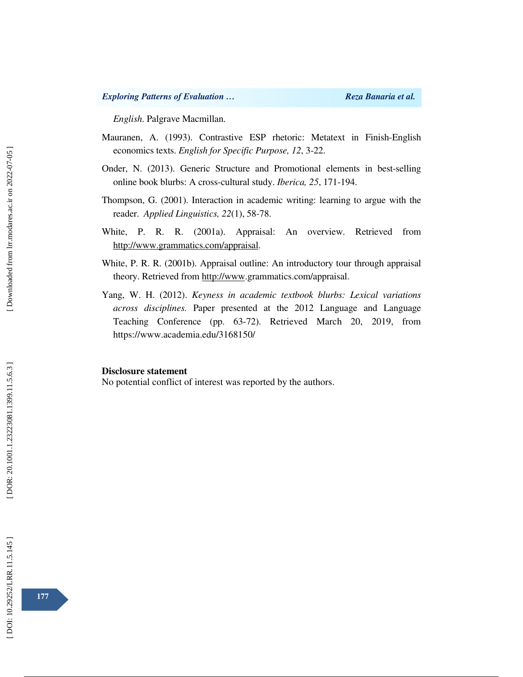*English*. Palgrave Macmillan.

- Mauranen, A. (1993). Contrastive ESP rhetoric: Metatext in Finish-English economics texts. *English for Specific Purpose, 12*, 3-22.
- Onder, N. (2013). Generic Structure and Promotional elements in best-selling online book blurbs: A cross-cultural study. *Iberica, 25*, 171-194.
- Thompson, G. (2001). Interaction in academic writing: learning to argue with the reader. *Applied Linguistics, 22*(1), 58-78.
- White, P. R. R. (2001a). Appraisal: An overview. Retrieved from http://www.grammatics.com/appraisal.
- White, P. R. R. (2001b). Appraisal outline: An introductory tour through appraisal theory. Retrieved from http://www.grammatics.com/appraisal.
- Yang, W. H. (2012). *Keyness in academic textbook blurbs: Lexical variations across disciplines.* Paper presented at the 2012 Language and Language Teaching Conference (pp. 63-72). Retrieved March 20, 2019, from https://www.academia.edu/3168150/

#### **Disclosure statement**

No potential conflict of interest was reported by the authors.